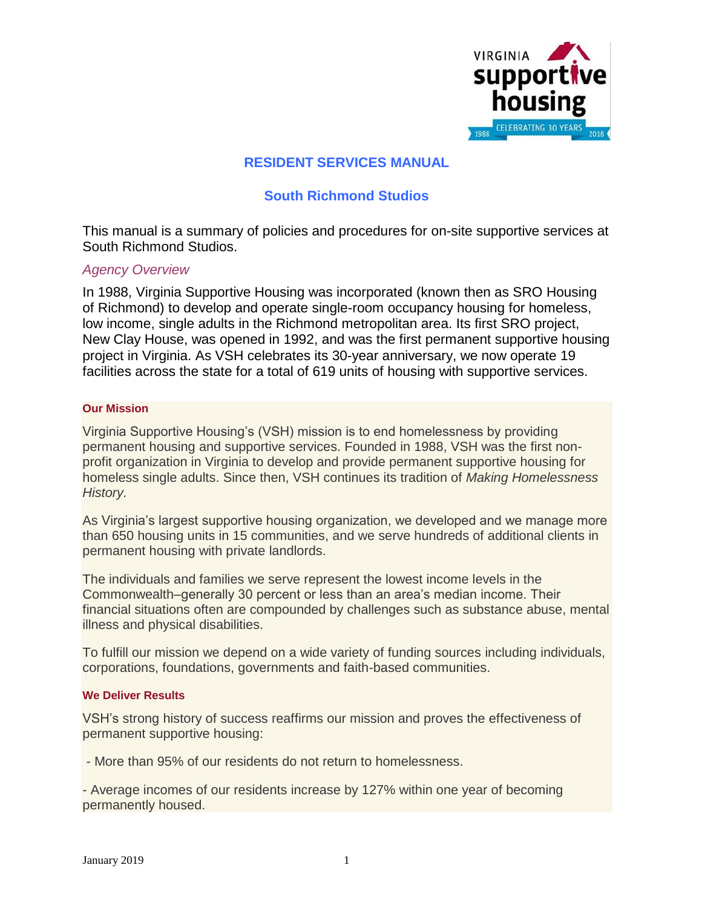

## **RESIDENT SERVICES MANUAL**

## **South Richmond Studios**

This manual is a summary of policies and procedures for on-site supportive services at South Richmond Studios.

### *Agency Overview*

In 1988, Virginia Supportive Housing was incorporated (known then as SRO Housing of Richmond) to develop and operate single-room occupancy housing for homeless, low income, single adults in the Richmond metropolitan area. Its first SRO project, New Clay House, was opened in 1992, and was the first permanent supportive housing project in Virginia. As VSH celebrates its 30-year anniversary, we now operate 19 facilities across the state for a total of 619 units of housing with supportive services.

### **Our Mission**

Virginia Supportive Housing's (VSH) mission is to end homelessness by providing permanent housing and supportive services. Founded in 1988, VSH was the first nonprofit organization in Virginia to develop and provide permanent supportive housing for homeless single adults. Since then, VSH continues its tradition of *Making Homelessness History.*

As Virginia's largest supportive housing organization, we developed and we manage more than 650 housing units in 15 communities, and we serve hundreds of additional clients in permanent housing with private landlords.

The individuals and families we serve represent the lowest income levels in the Commonwealth–generally 30 percent or less than an area's median income. Their financial situations often are compounded by challenges such as substance abuse, mental illness and physical disabilities.

To fulfill our mission we depend on a wide variety of funding sources including individuals, corporations, foundations, governments and faith-based communities.

### **We Deliver Results**

VSH's strong history of success reaffirms our mission and proves the effectiveness of permanent supportive housing:

- More than 95% of our residents do not return to homelessness.

- Average incomes of our residents increase by 127% within one year of becoming permanently housed.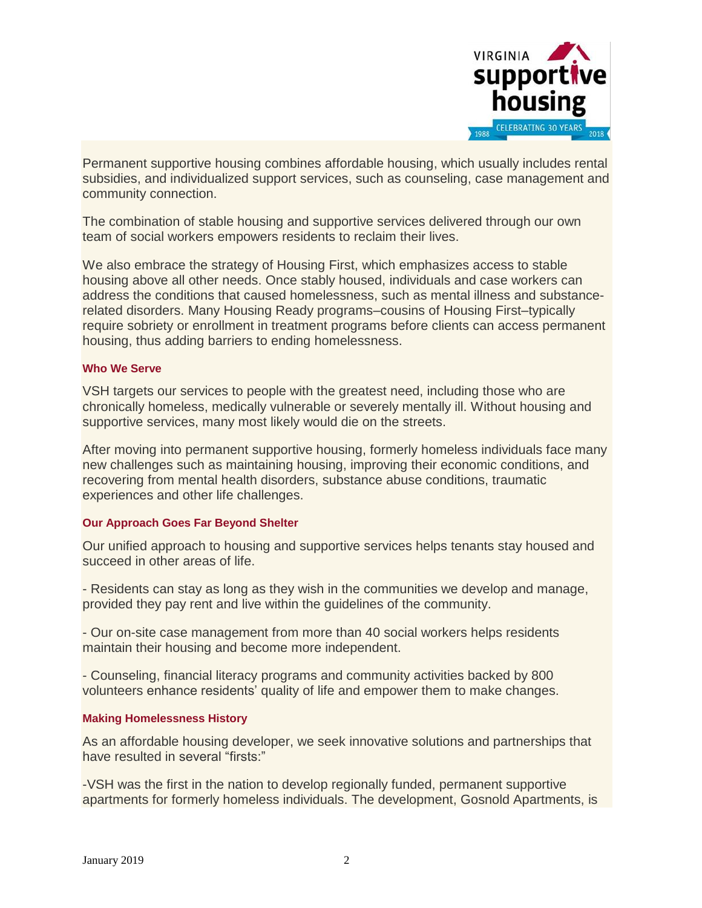

Permanent supportive housing combines affordable housing, which usually includes rental subsidies, and individualized support services, such as counseling, case management and community connection.

The combination of stable housing and supportive services delivered through our own team of social workers empowers residents to reclaim their lives.

We also embrace the strategy of Housing First, which emphasizes access to stable housing above all other needs. Once stably housed, individuals and case workers can address the conditions that caused homelessness, such as mental illness and substancerelated disorders. Many Housing Ready programs–cousins of Housing First–typically require sobriety or enrollment in treatment programs before clients can access permanent housing, thus adding barriers to ending homelessness.

### **Who We Serve**

VSH targets our services to people with the greatest need, including those who are chronically homeless, medically vulnerable or severely mentally ill. Without housing and supportive services, many most likely would die on the streets.

After moving into permanent supportive housing, formerly homeless individuals face many new challenges such as maintaining housing, improving their economic conditions, and recovering from mental health disorders, substance abuse conditions, traumatic experiences and other life challenges.

### **Our Approach Goes Far Beyond Shelter**

Our unified approach to housing and supportive services helps tenants stay housed and succeed in other areas of life.

- Residents can stay as long as they wish in the communities we develop and manage, provided they pay rent and live within the guidelines of the community.

- Our on-site case management from more than 40 social workers helps residents maintain their housing and become more independent.

- Counseling, financial literacy programs and community activities backed by 800 volunteers enhance residents' quality of life and empower them to make changes.

### **Making Homelessness History**

As an affordable housing developer, we seek innovative solutions and partnerships that have resulted in several "firsts:"

-VSH was the first in the nation to develop regionally funded, permanent supportive apartments for formerly homeless individuals. The development, Gosnold Apartments, is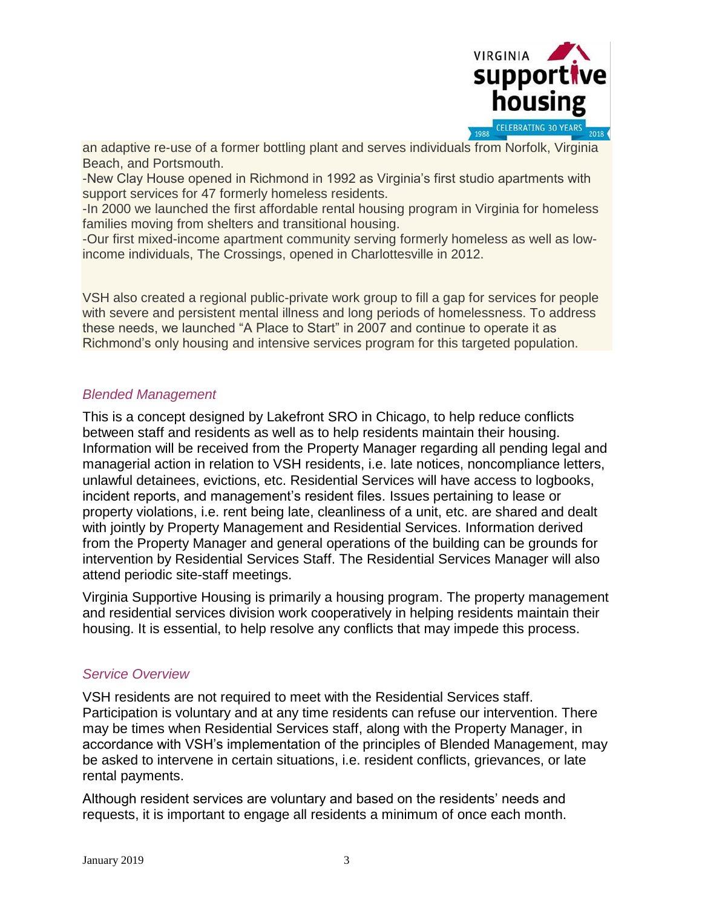

an adaptive re-use of a former bottling plant and serves individuals from Norfolk, Virginia Beach, and Portsmouth.

-New Clay House opened in Richmond in 1992 as Virginia's first studio apartments with support services for 47 formerly homeless residents.

-In 2000 we launched the first affordable rental housing program in Virginia for homeless families moving from shelters and transitional housing.

-Our first mixed-income apartment community serving formerly homeless as well as lowincome individuals, The Crossings, opened in Charlottesville in 2012.

VSH also created a regional public-private work group to fill a gap for services for people with severe and persistent mental illness and long periods of homelessness. To address these needs, we launched "A Place to Start" in 2007 and continue to operate it as Richmond's only housing and intensive services program for this targeted population.

## *Blended Management*

This is a concept designed by Lakefront SRO in Chicago, to help reduce conflicts between staff and residents as well as to help residents maintain their housing. Information will be received from the Property Manager regarding all pending legal and managerial action in relation to VSH residents, i.e. late notices, noncompliance letters, unlawful detainees, evictions, etc. Residential Services will have access to logbooks, incident reports, and management's resident files. Issues pertaining to lease or property violations, i.e. rent being late, cleanliness of a unit, etc. are shared and dealt with jointly by Property Management and Residential Services. Information derived from the Property Manager and general operations of the building can be grounds for intervention by Residential Services Staff. The Residential Services Manager will also attend periodic site-staff meetings.

Virginia Supportive Housing is primarily a housing program. The property management and residential services division work cooperatively in helping residents maintain their housing. It is essential, to help resolve any conflicts that may impede this process.

## *Service Overview*

VSH residents are not required to meet with the Residential Services staff. Participation is voluntary and at any time residents can refuse our intervention. There may be times when Residential Services staff, along with the Property Manager, in accordance with VSH's implementation of the principles of Blended Management, may be asked to intervene in certain situations, i.e. resident conflicts, grievances, or late rental payments.

Although resident services are voluntary and based on the residents' needs and requests, it is important to engage all residents a minimum of once each month.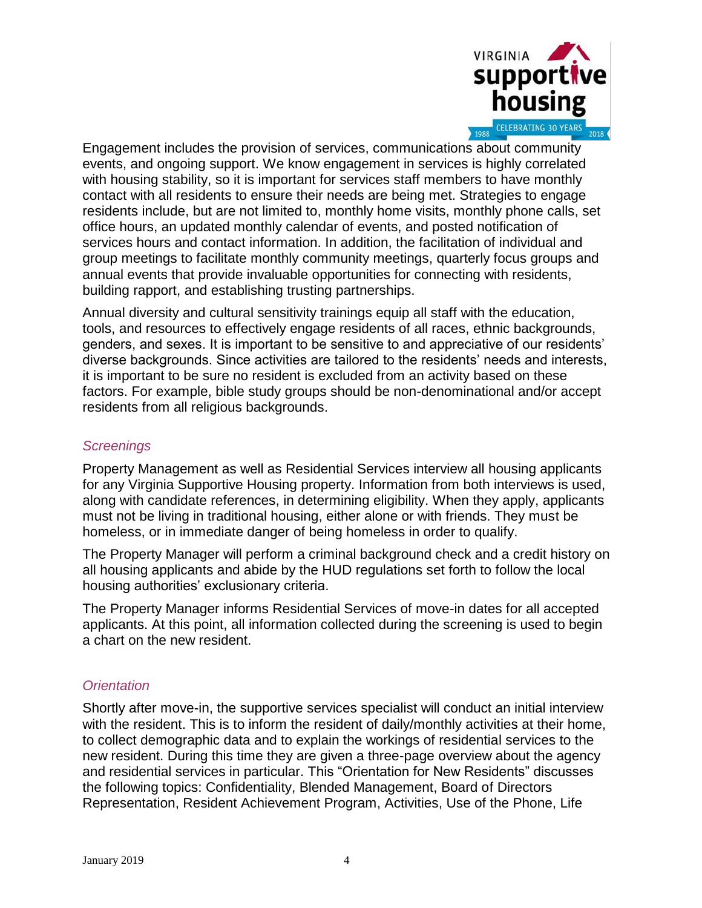

Engagement includes the provision of services, communications about community events, and ongoing support. We know engagement in services is highly correlated with housing stability, so it is important for services staff members to have monthly contact with all residents to ensure their needs are being met. Strategies to engage residents include, but are not limited to, monthly home visits, monthly phone calls, set office hours, an updated monthly calendar of events, and posted notification of services hours and contact information. In addition, the facilitation of individual and group meetings to facilitate monthly community meetings, quarterly focus groups and annual events that provide invaluable opportunities for connecting with residents, building rapport, and establishing trusting partnerships.

Annual diversity and cultural sensitivity trainings equip all staff with the education, tools, and resources to effectively engage residents of all races, ethnic backgrounds, genders, and sexes. It is important to be sensitive to and appreciative of our residents' diverse backgrounds. Since activities are tailored to the residents' needs and interests, it is important to be sure no resident is excluded from an activity based on these factors. For example, bible study groups should be non-denominational and/or accept residents from all religious backgrounds.

## *Screenings*

Property Management as well as Residential Services interview all housing applicants for any Virginia Supportive Housing property. Information from both interviews is used, along with candidate references, in determining eligibility. When they apply, applicants must not be living in traditional housing, either alone or with friends. They must be homeless, or in immediate danger of being homeless in order to qualify.

The Property Manager will perform a criminal background check and a credit history on all housing applicants and abide by the HUD regulations set forth to follow the local housing authorities' exclusionary criteria.

The Property Manager informs Residential Services of move-in dates for all accepted applicants. At this point, all information collected during the screening is used to begin a chart on the new resident.

## *Orientation*

Shortly after move-in, the supportive services specialist will conduct an initial interview with the resident. This is to inform the resident of daily/monthly activities at their home, to collect demographic data and to explain the workings of residential services to the new resident. During this time they are given a three-page overview about the agency and residential services in particular. This "Orientation for New Residents" discusses the following topics: Confidentiality, Blended Management, Board of Directors Representation, Resident Achievement Program, Activities, Use of the Phone, Life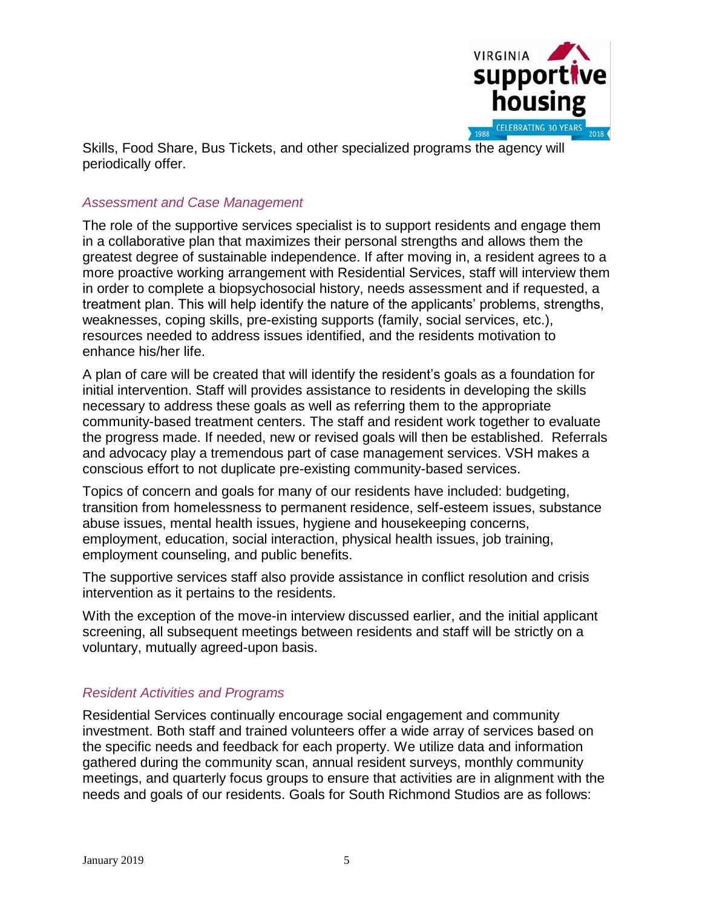

Skills, Food Share, Bus Tickets, and other specialized programs the agency will periodically offer.

## *Assessment and Case Management*

The role of the supportive services specialist is to support residents and engage them in a collaborative plan that maximizes their personal strengths and allows them the greatest degree of sustainable independence. If after moving in, a resident agrees to a more proactive working arrangement with Residential Services, staff will interview them in order to complete a biopsychosocial history, needs assessment and if requested, a treatment plan. This will help identify the nature of the applicants' problems, strengths, weaknesses, coping skills, pre-existing supports (family, social services, etc.), resources needed to address issues identified, and the residents motivation to enhance his/her life.

A plan of care will be created that will identify the resident's goals as a foundation for initial intervention. Staff will provides assistance to residents in developing the skills necessary to address these goals as well as referring them to the appropriate community-based treatment centers. The staff and resident work together to evaluate the progress made. If needed, new or revised goals will then be established. Referrals and advocacy play a tremendous part of case management services. VSH makes a conscious effort to not duplicate pre-existing community-based services.

Topics of concern and goals for many of our residents have included: budgeting, transition from homelessness to permanent residence, self-esteem issues, substance abuse issues, mental health issues, hygiene and housekeeping concerns, employment, education, social interaction, physical health issues, job training, employment counseling, and public benefits.

The supportive services staff also provide assistance in conflict resolution and crisis intervention as it pertains to the residents.

With the exception of the move-in interview discussed earlier, and the initial applicant screening, all subsequent meetings between residents and staff will be strictly on a voluntary, mutually agreed-upon basis.

## *Resident Activities and Programs*

Residential Services continually encourage social engagement and community investment. Both staff and trained volunteers offer a wide array of services based on the specific needs and feedback for each property. We utilize data and information gathered during the community scan, annual resident surveys, monthly community meetings, and quarterly focus groups to ensure that activities are in alignment with the needs and goals of our residents. Goals for South Richmond Studios are as follows: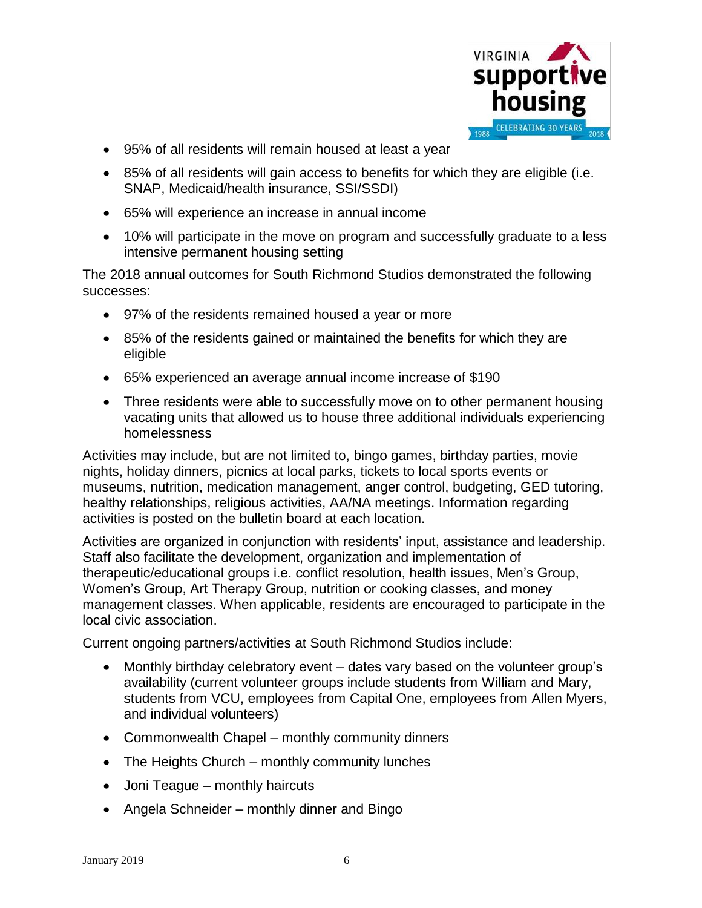

- 95% of all residents will remain housed at least a year
- 85% of all residents will gain access to benefits for which they are eligible (i.e. SNAP, Medicaid/health insurance, SSI/SSDI)
- 65% will experience an increase in annual income
- 10% will participate in the move on program and successfully graduate to a less intensive permanent housing setting

The 2018 annual outcomes for South Richmond Studios demonstrated the following successes:

- 97% of the residents remained housed a year or more
- 85% of the residents gained or maintained the benefits for which they are eligible
- 65% experienced an average annual income increase of \$190
- Three residents were able to successfully move on to other permanent housing vacating units that allowed us to house three additional individuals experiencing homelessness

Activities may include, but are not limited to, bingo games, birthday parties, movie nights, holiday dinners, picnics at local parks, tickets to local sports events or museums, nutrition, medication management, anger control, budgeting, GED tutoring, healthy relationships, religious activities, AA/NA meetings. Information regarding activities is posted on the bulletin board at each location.

Activities are organized in conjunction with residents' input, assistance and leadership. Staff also facilitate the development, organization and implementation of therapeutic/educational groups i.e. conflict resolution, health issues, Men's Group, Women's Group, Art Therapy Group, nutrition or cooking classes, and money management classes. When applicable, residents are encouraged to participate in the local civic association.

Current ongoing partners/activities at South Richmond Studios include:

- Monthly birthday celebratory event dates vary based on the volunteer group's availability (current volunteer groups include students from William and Mary, students from VCU, employees from Capital One, employees from Allen Myers, and individual volunteers)
- Commonwealth Chapel monthly community dinners
- The Heights Church monthly community lunches
- Joni Teague monthly haircuts
- Angela Schneider monthly dinner and Bingo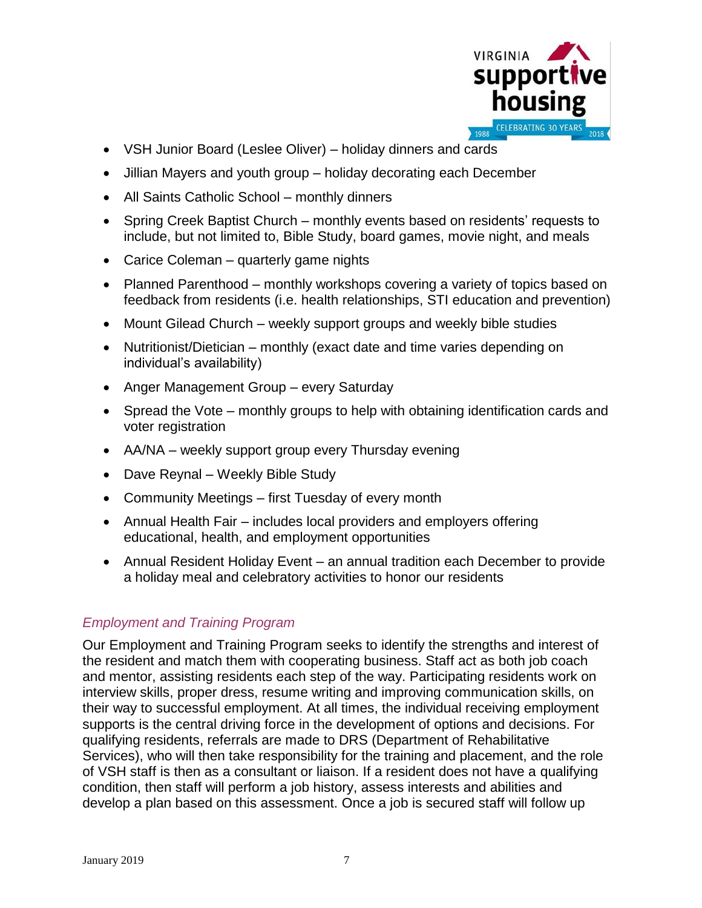

- VSH Junior Board (Leslee Oliver) holiday dinners and cards
- Jillian Mayers and youth group holiday decorating each December
- All Saints Catholic School monthly dinners
- Spring Creek Baptist Church monthly events based on residents' requests to include, but not limited to, Bible Study, board games, movie night, and meals
- Carice Coleman quarterly game nights
- Planned Parenthood monthly workshops covering a variety of topics based on feedback from residents (i.e. health relationships, STI education and prevention)
- Mount Gilead Church weekly support groups and weekly bible studies
- Nutritionist/Dietician monthly (exact date and time varies depending on individual's availability)
- Anger Management Group every Saturday
- Spread the Vote monthly groups to help with obtaining identification cards and voter registration
- AA/NA weekly support group every Thursday evening
- Dave Reynal Weekly Bible Study
- Community Meetings first Tuesday of every month
- Annual Health Fair includes local providers and employers offering educational, health, and employment opportunities
- Annual Resident Holiday Event an annual tradition each December to provide a holiday meal and celebratory activities to honor our residents

# *Employment and Training Program*

Our Employment and Training Program seeks to identify the strengths and interest of the resident and match them with cooperating business. Staff act as both job coach and mentor, assisting residents each step of the way. Participating residents work on interview skills, proper dress, resume writing and improving communication skills, on their way to successful employment. At all times, the individual receiving employment supports is the central driving force in the development of options and decisions. For qualifying residents, referrals are made to DRS (Department of Rehabilitative Services), who will then take responsibility for the training and placement, and the role of VSH staff is then as a consultant or liaison. If a resident does not have a qualifying condition, then staff will perform a job history, assess interests and abilities and develop a plan based on this assessment. Once a job is secured staff will follow up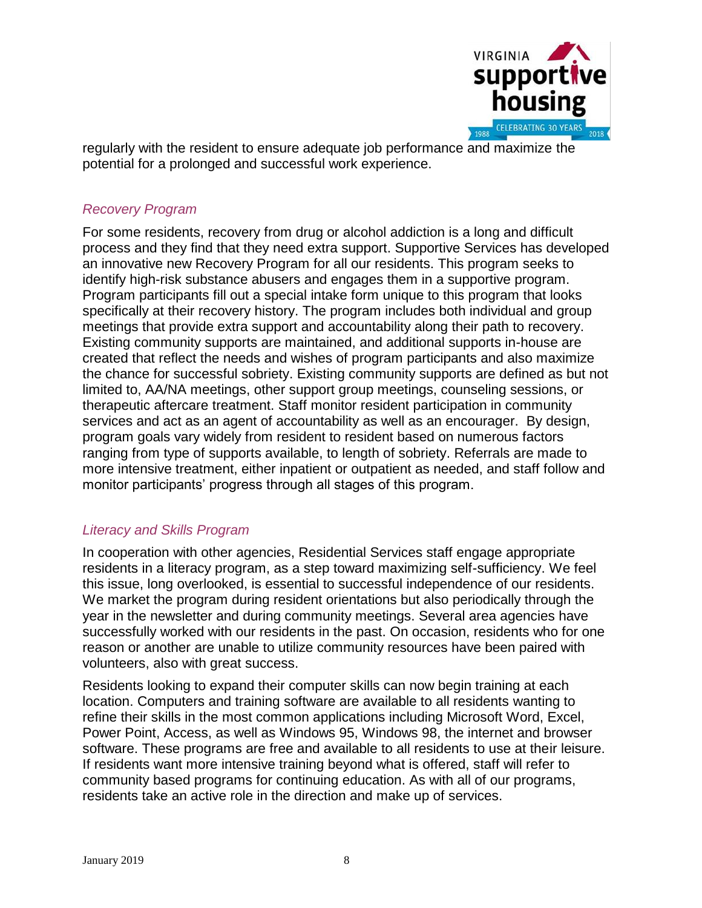

regularly with the resident to ensure adequate job performance and maximize the potential for a prolonged and successful work experience.

## *Recovery Program*

For some residents, recovery from drug or alcohol addiction is a long and difficult process and they find that they need extra support. Supportive Services has developed an innovative new Recovery Program for all our residents. This program seeks to identify high-risk substance abusers and engages them in a supportive program. Program participants fill out a special intake form unique to this program that looks specifically at their recovery history. The program includes both individual and group meetings that provide extra support and accountability along their path to recovery. Existing community supports are maintained, and additional supports in-house are created that reflect the needs and wishes of program participants and also maximize the chance for successful sobriety. Existing community supports are defined as but not limited to, AA/NA meetings, other support group meetings, counseling sessions, or therapeutic aftercare treatment. Staff monitor resident participation in community services and act as an agent of accountability as well as an encourager. By design, program goals vary widely from resident to resident based on numerous factors ranging from type of supports available, to length of sobriety. Referrals are made to more intensive treatment, either inpatient or outpatient as needed, and staff follow and monitor participants' progress through all stages of this program.

## *Literacy and Skills Program*

In cooperation with other agencies, Residential Services staff engage appropriate residents in a literacy program, as a step toward maximizing self-sufficiency. We feel this issue, long overlooked, is essential to successful independence of our residents. We market the program during resident orientations but also periodically through the year in the newsletter and during community meetings. Several area agencies have successfully worked with our residents in the past. On occasion, residents who for one reason or another are unable to utilize community resources have been paired with volunteers, also with great success.

Residents looking to expand their computer skills can now begin training at each location. Computers and training software are available to all residents wanting to refine their skills in the most common applications including Microsoft Word, Excel, Power Point, Access, as well as Windows 95, Windows 98, the internet and browser software. These programs are free and available to all residents to use at their leisure. If residents want more intensive training beyond what is offered, staff will refer to community based programs for continuing education. As with all of our programs, residents take an active role in the direction and make up of services.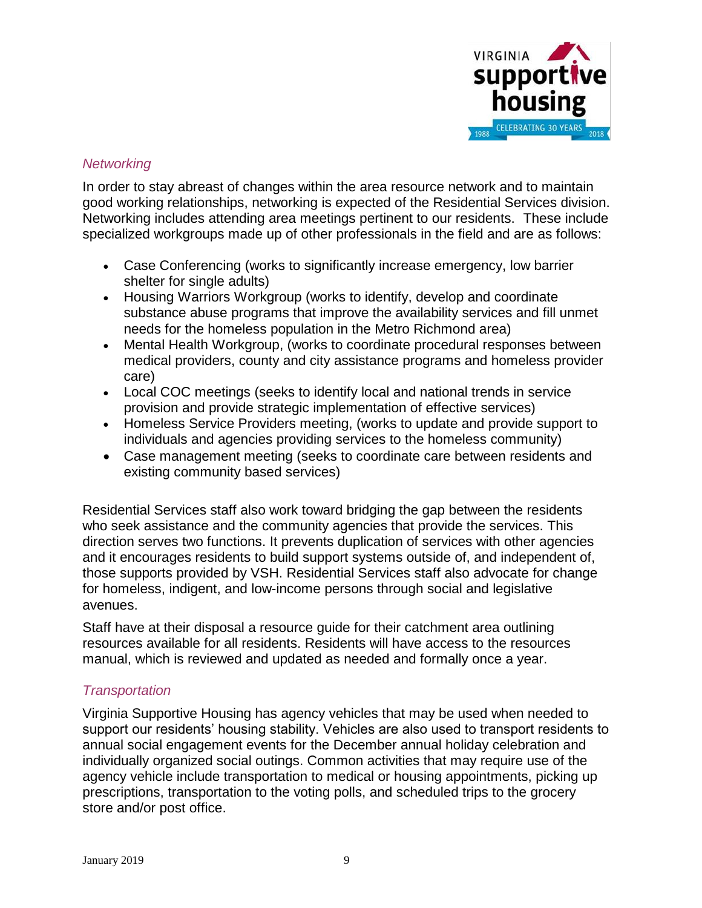

## *Networking*

In order to stay abreast of changes within the area resource network and to maintain good working relationships, networking is expected of the Residential Services division. Networking includes attending area meetings pertinent to our residents. These include specialized workgroups made up of other professionals in the field and are as follows:

- Case Conferencing (works to significantly increase emergency, low barrier shelter for single adults)
- Housing Warriors Workgroup (works to identify, develop and coordinate substance abuse programs that improve the availability services and fill unmet needs for the homeless population in the Metro Richmond area)
- Mental Health Workgroup, (works to coordinate procedural responses between medical providers, county and city assistance programs and homeless provider care)
- Local COC meetings (seeks to identify local and national trends in service provision and provide strategic implementation of effective services)
- Homeless Service Providers meeting, (works to update and provide support to individuals and agencies providing services to the homeless community)
- Case management meeting (seeks to coordinate care between residents and existing community based services)

Residential Services staff also work toward bridging the gap between the residents who seek assistance and the community agencies that provide the services. This direction serves two functions. It prevents duplication of services with other agencies and it encourages residents to build support systems outside of, and independent of, those supports provided by VSH. Residential Services staff also advocate for change for homeless, indigent, and low-income persons through social and legislative avenues.

Staff have at their disposal a resource guide for their catchment area outlining resources available for all residents. Residents will have access to the resources manual, which is reviewed and updated as needed and formally once a year.

# *Transportation*

Virginia Supportive Housing has agency vehicles that may be used when needed to support our residents' housing stability. Vehicles are also used to transport residents to annual social engagement events for the December annual holiday celebration and individually organized social outings. Common activities that may require use of the agency vehicle include transportation to medical or housing appointments, picking up prescriptions, transportation to the voting polls, and scheduled trips to the grocery store and/or post office.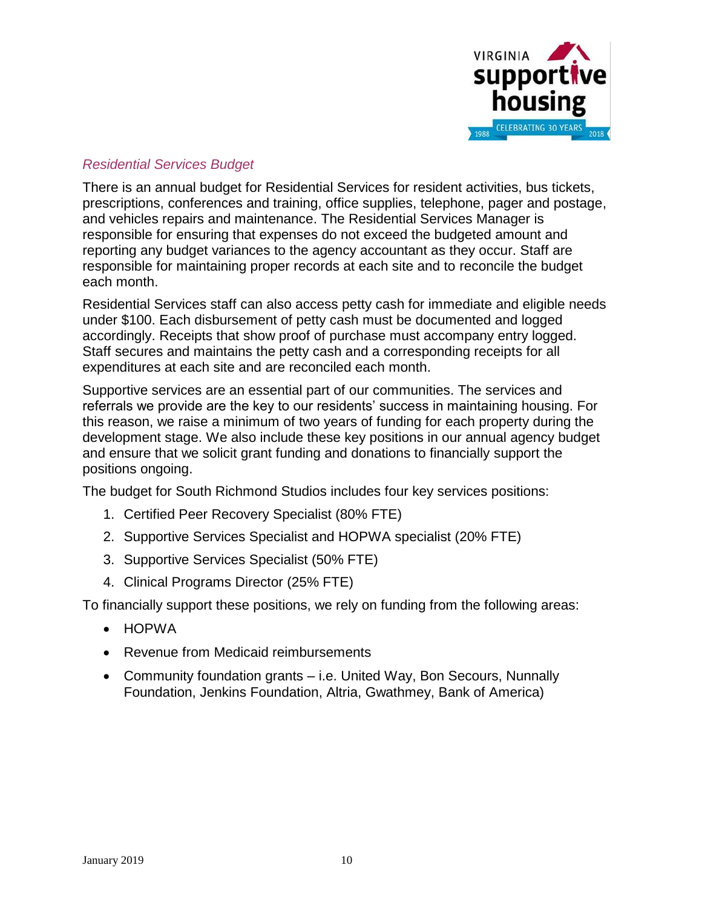

# *Residential Services Budget*

There is an annual budget for Residential Services for resident activities, bus tickets, prescriptions, conferences and training, office supplies, telephone, pager and postage, and vehicles repairs and maintenance. The Residential Services Manager is responsible for ensuring that expenses do not exceed the budgeted amount and reporting any budget variances to the agency accountant as they occur. Staff are responsible for maintaining proper records at each site and to reconcile the budget each month.

Residential Services staff can also access petty cash for immediate and eligible needs under \$100. Each disbursement of petty cash must be documented and logged accordingly. Receipts that show proof of purchase must accompany entry logged. Staff secures and maintains the petty cash and a corresponding receipts for all expenditures at each site and are reconciled each month.

Supportive services are an essential part of our communities. The services and referrals we provide are the key to our residents' success in maintaining housing. For this reason, we raise a minimum of two years of funding for each property during the development stage. We also include these key positions in our annual agency budget and ensure that we solicit grant funding and donations to financially support the positions ongoing.

The budget for South Richmond Studios includes four key services positions:

- 1. Certified Peer Recovery Specialist (80% FTE)
- 2. Supportive Services Specialist and HOPWA specialist (20% FTE)
- 3. Supportive Services Specialist (50% FTE)
- 4. Clinical Programs Director (25% FTE)

To financially support these positions, we rely on funding from the following areas:

- HOPWA
- Revenue from Medicaid reimbursements
- Community foundation grants i.e. United Way, Bon Secours, Nunnally Foundation, Jenkins Foundation, Altria, Gwathmey, Bank of America)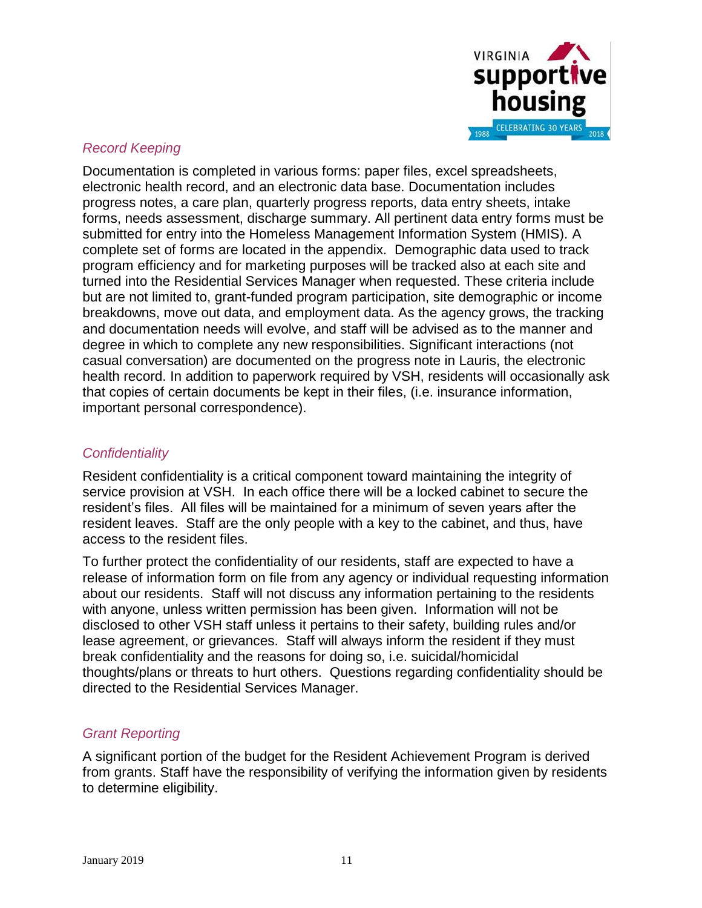

## *Record Keeping*

Documentation is completed in various forms: paper files, excel spreadsheets, electronic health record, and an electronic data base. Documentation includes progress notes, a care plan, quarterly progress reports, data entry sheets, intake forms, needs assessment, discharge summary. All pertinent data entry forms must be submitted for entry into the Homeless Management Information System (HMIS). A complete set of forms are located in the appendix. Demographic data used to track program efficiency and for marketing purposes will be tracked also at each site and turned into the Residential Services Manager when requested. These criteria include but are not limited to, grant-funded program participation, site demographic or income breakdowns, move out data, and employment data. As the agency grows, the tracking and documentation needs will evolve, and staff will be advised as to the manner and degree in which to complete any new responsibilities. Significant interactions (not casual conversation) are documented on the progress note in Lauris, the electronic health record. In addition to paperwork required by VSH, residents will occasionally ask that copies of certain documents be kept in their files, (i.e. insurance information, important personal correspondence).

## *Confidentiality*

Resident confidentiality is a critical component toward maintaining the integrity of service provision at VSH. In each office there will be a locked cabinet to secure the resident's files. All files will be maintained for a minimum of seven years after the resident leaves. Staff are the only people with a key to the cabinet, and thus, have access to the resident files.

To further protect the confidentiality of our residents, staff are expected to have a release of information form on file from any agency or individual requesting information about our residents. Staff will not discuss any information pertaining to the residents with anyone, unless written permission has been given. Information will not be disclosed to other VSH staff unless it pertains to their safety, building rules and/or lease agreement, or grievances. Staff will always inform the resident if they must break confidentiality and the reasons for doing so, i.e. suicidal/homicidal thoughts/plans or threats to hurt others. Questions regarding confidentiality should be directed to the Residential Services Manager.

## *Grant Reporting*

A significant portion of the budget for the Resident Achievement Program is derived from grants. Staff have the responsibility of verifying the information given by residents to determine eligibility.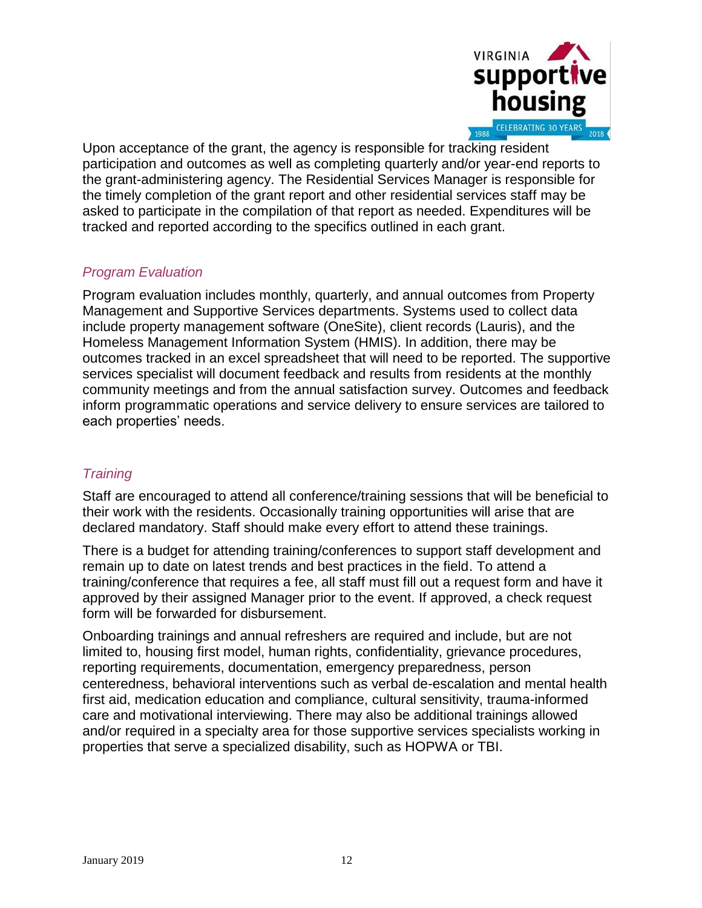

Upon acceptance of the grant, the agency is responsible for tracking resident participation and outcomes as well as completing quarterly and/or year-end reports to the grant-administering agency. The Residential Services Manager is responsible for the timely completion of the grant report and other residential services staff may be asked to participate in the compilation of that report as needed. Expenditures will be tracked and reported according to the specifics outlined in each grant.

# *Program Evaluation*

Program evaluation includes monthly, quarterly, and annual outcomes from Property Management and Supportive Services departments. Systems used to collect data include property management software (OneSite), client records (Lauris), and the Homeless Management Information System (HMIS). In addition, there may be outcomes tracked in an excel spreadsheet that will need to be reported. The supportive services specialist will document feedback and results from residents at the monthly community meetings and from the annual satisfaction survey. Outcomes and feedback inform programmatic operations and service delivery to ensure services are tailored to each properties' needs.

# *Training*

Staff are encouraged to attend all conference/training sessions that will be beneficial to their work with the residents. Occasionally training opportunities will arise that are declared mandatory. Staff should make every effort to attend these trainings.

There is a budget for attending training/conferences to support staff development and remain up to date on latest trends and best practices in the field. To attend a training/conference that requires a fee, all staff must fill out a request form and have it approved by their assigned Manager prior to the event. If approved, a check request form will be forwarded for disbursement.

Onboarding trainings and annual refreshers are required and include, but are not limited to, housing first model, human rights, confidentiality, grievance procedures, reporting requirements, documentation, emergency preparedness, person centeredness, behavioral interventions such as verbal de-escalation and mental health first aid, medication education and compliance, cultural sensitivity, trauma-informed care and motivational interviewing. There may also be additional trainings allowed and/or required in a specialty area for those supportive services specialists working in properties that serve a specialized disability, such as HOPWA or TBI.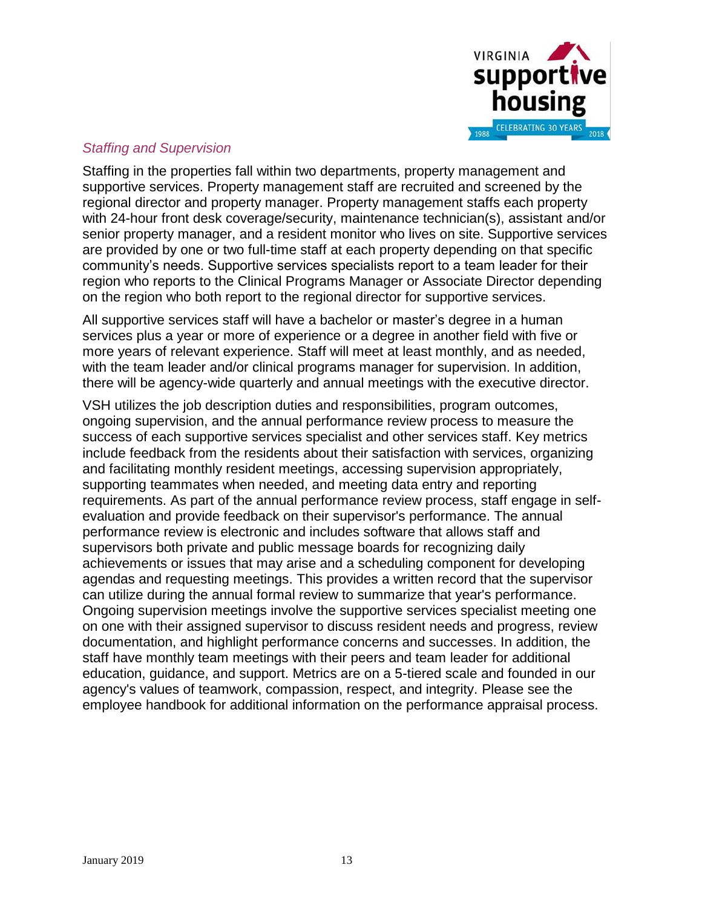

## *Staffing and Supervision*

Staffing in the properties fall within two departments, property management and supportive services. Property management staff are recruited and screened by the regional director and property manager. Property management staffs each property with 24-hour front desk coverage/security, maintenance technician(s), assistant and/or senior property manager, and a resident monitor who lives on site. Supportive services are provided by one or two full-time staff at each property depending on that specific community's needs. Supportive services specialists report to a team leader for their region who reports to the Clinical Programs Manager or Associate Director depending on the region who both report to the regional director for supportive services.

All supportive services staff will have a bachelor or master's degree in a human services plus a year or more of experience or a degree in another field with five or more years of relevant experience. Staff will meet at least monthly, and as needed, with the team leader and/or clinical programs manager for supervision. In addition, there will be agency-wide quarterly and annual meetings with the executive director.

VSH utilizes the job description duties and responsibilities, program outcomes, ongoing supervision, and the annual performance review process to measure the success of each supportive services specialist and other services staff. Key metrics include feedback from the residents about their satisfaction with services, organizing and facilitating monthly resident meetings, accessing supervision appropriately, supporting teammates when needed, and meeting data entry and reporting requirements. As part of the annual performance review process, staff engage in selfevaluation and provide feedback on their supervisor's performance. The annual performance review is electronic and includes software that allows staff and supervisors both private and public message boards for recognizing daily achievements or issues that may arise and a scheduling component for developing agendas and requesting meetings. This provides a written record that the supervisor can utilize during the annual formal review to summarize that year's performance. Ongoing supervision meetings involve the supportive services specialist meeting one on one with their assigned supervisor to discuss resident needs and progress, review documentation, and highlight performance concerns and successes. In addition, the staff have monthly team meetings with their peers and team leader for additional education, guidance, and support. Metrics are on a 5-tiered scale and founded in our agency's values of teamwork, compassion, respect, and integrity. Please see the employee handbook for additional information on the performance appraisal process.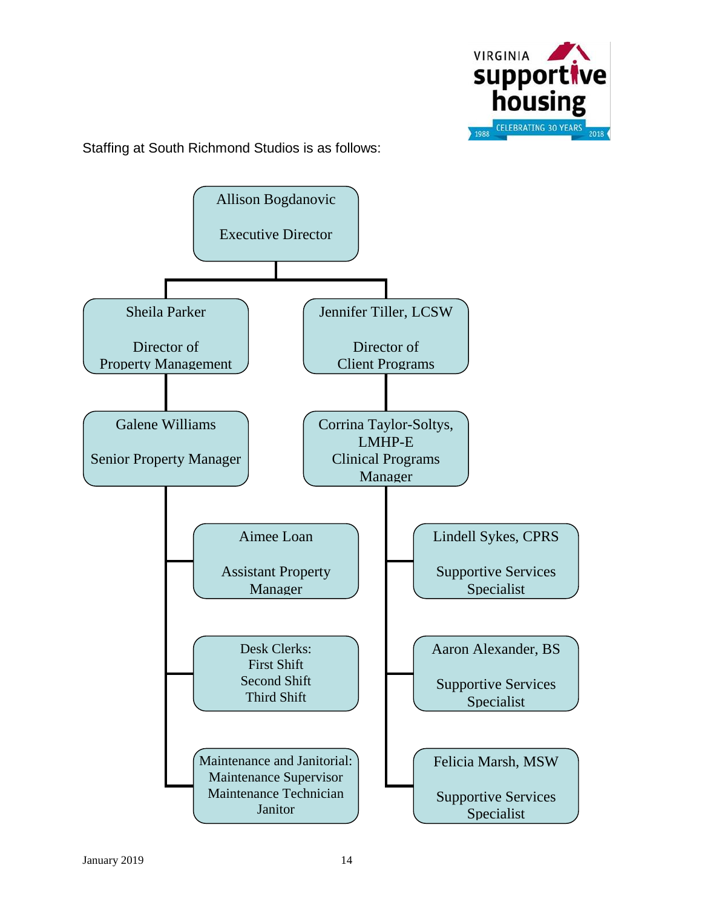

Staffing at South Richmond Studios is as follows: